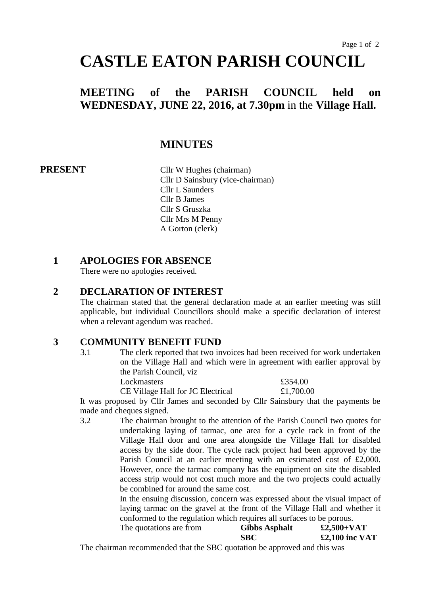# **CASTLE EATON PARISH COUNCIL**

# **MEETING of the PARISH COUNCIL held on WEDNESDAY, JUNE 22, 2016, at 7.30pm** in the **Village Hall.**

## **MINUTES**

**PRESENT** Cllr W Hughes (chairman) Cllr D Sainsbury (vice-chairman) Cllr L Saunders Cllr B James Cllr S Gruszka Cllr Mrs M Penny A Gorton (clerk)

#### **1 APOLOGIES FOR ABSENCE**

There were no apologies received.

#### **2 DECLARATION OF INTEREST**

The chairman stated that the general declaration made at an earlier meeting was still applicable, but individual Councillors should make a specific declaration of interest when a relevant agendum was reached.

#### **3 COMMUNITY BENEFIT FUND**

3.1 The clerk reported that two invoices had been received for work undertaken on the Village Hall and which were in agreement with earlier approval by the Parish Council, viz

Lockmasters  $£354.00$ CE Village Hall for JC Electrical £1,700.00

It was proposed by Cllr James and seconded by Cllr Sainsbury that the payments be made and cheques signed.

3.2 The chairman brought to the attention of the Parish Council two quotes for undertaking laying of tarmac, one area for a cycle rack in front of the Village Hall door and one area alongside the Village Hall for disabled access by the side door. The cycle rack project had been approved by the Parish Council at an earlier meeting with an estimated cost of £2,000. However, once the tarmac company has the equipment on site the disabled access strip would not cost much more and the two projects could actually be combined for around the same cost.

In the ensuing discussion, concern was expressed about the visual impact of laying tarmac on the gravel at the front of the Village Hall and whether it conformed to the regulation which requires all surfaces to be porous.

| The quotations are from | <b>Gibbs Asphalt</b> | $£2,500+VAT$     |
|-------------------------|----------------------|------------------|
|                         | <b>SBC</b>           | $£2,100$ inc VAT |

The chairman recommended that the SBC quotation be approved and this was